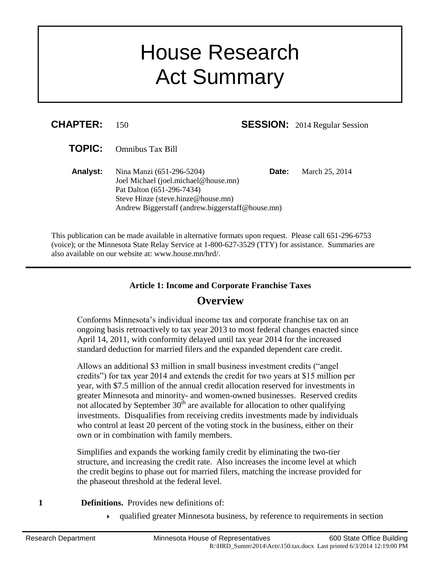# House Research Act Summary

| <b>CHAPTER:</b> | 150                                                                                                                                                                                      |       | <b>SESSION:</b> 2014 Regular Session |
|-----------------|------------------------------------------------------------------------------------------------------------------------------------------------------------------------------------------|-------|--------------------------------------|
| <b>TOPIC:</b>   | <b>Omnibus Tax Bill</b>                                                                                                                                                                  |       |                                      |
| <b>Analyst:</b> | Nina Manzi (651-296-5204)<br>Joel Michael (joel.michael@house.mn)<br>Pat Dalton (651-296-7434)<br>Steve Hinze (steve.hinze@house.mn)<br>Andrew Biggerstaff (andrew.biggerstaff@house.mn) | Date: | March 25, 2014                       |

This publication can be made available in alternative formats upon request. Please call 651-296-6753 (voice); or the Minnesota State Relay Service at 1-800-627-3529 (TTY) for assistance. Summaries are also available on our website at: www.house.mn/hrd/.

## **Article 1: Income and Corporate Franchise Taxes Overview**

Conforms Minnesota's individual income tax and corporate franchise tax on an ongoing basis retroactively to tax year 2013 to most federal changes enacted since April 14, 2011, with conformity delayed until tax year 2014 for the increased standard deduction for married filers and the expanded dependent care credit.

Allows an additional \$3 million in small business investment credits ("angel credits") for tax year 2014 and extends the credit for two years at \$15 million per year, with \$7.5 million of the annual credit allocation reserved for investments in greater Minnesota and minority- and women-owned businesses. Reserved credits not allocated by September  $30<sup>th</sup>$  are available for allocation to other qualifying investments. Disqualifies from receiving credits investments made by individuals who control at least 20 percent of the voting stock in the business, either on their own or in combination with family members.

Simplifies and expands the working family credit by eliminating the two-tier structure, and increasing the credit rate. Also increases the income level at which the credit begins to phase out for married filers, matching the increase provided for the phaseout threshold at the federal level.

- **1 Definitions.** Provides new definitions of:
	- qualified greater Minnesota business, by reference to requirements in section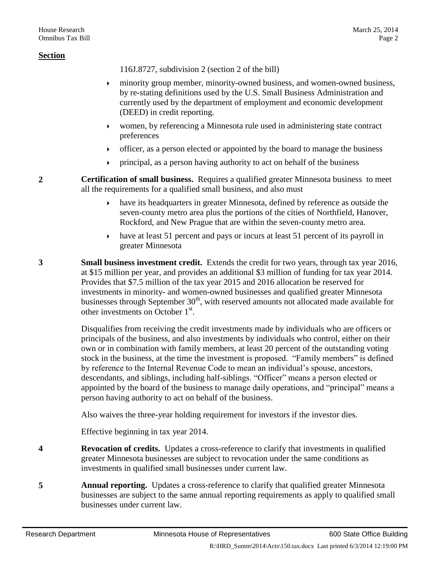116J.8727, subdivision 2 (section [2](#page-1-0) of the bill)

- minority group member, minority-owned business, and women-owned business, by re-stating definitions used by the U.S. Small Business Administration and currently used by the department of employment and economic development (DEED) in credit reporting.
- women, by referencing a Minnesota rule used in administering state contract preferences
- officer, as a person elected or appointed by the board to manage the business
- principal, as a person having authority to act on behalf of the business
- <span id="page-1-0"></span>**2 Certification of small business.** Requires a qualified greater Minnesota business to meet all the requirements for a qualified small business, and also must
	- have its headquarters in greater Minnesota, defined by reference as outside the seven-county metro area plus the portions of the cities of Northfield, Hanover, Rockford, and New Prague that are within the seven-county metro area.
	- have at least 51 percent and pays or incurs at least 51 percent of its payroll in greater Minnesota
- **3 Small business investment credit.** Extends the credit for two years, through tax year 2016, at \$15 million per year, and provides an additional \$3 million of funding for tax year 2014. Provides that \$7.5 million of the tax year 2015 and 2016 allocation be reserved for investments in minority- and women-owned businesses and qualified greater Minnesota businesses through September  $30<sup>th</sup>$ , with reserved amounts not allocated made available for other investments on October 1<sup>st</sup>.

Disqualifies from receiving the credit investments made by individuals who are officers or principals of the business, and also investments by individuals who control, either on their own or in combination with family members, at least 20 percent of the outstanding voting stock in the business, at the time the investment is proposed. "Family members" is defined by reference to the Internal Revenue Code to mean an individual's spouse, ancestors, descendants, and siblings, including half-siblings. "Officer" means a person elected or appointed by the board of the business to manage daily operations, and "principal" means a person having authority to act on behalf of the business.

Also waives the three-year holding requirement for investors if the investor dies.

Effective beginning in tax year 2014.

- <span id="page-1-1"></span>**4 Revocation of credits.** Updates a cross-reference to clarify that investments in qualified greater Minnesota businesses are subject to revocation under the same conditions as investments in qualified small businesses under current law.
- **5 Annual reporting.** Updates a cross-reference to clarify that qualified greater Minnesota businesses are subject to the same annual reporting requirements as apply to qualified small businesses under current law.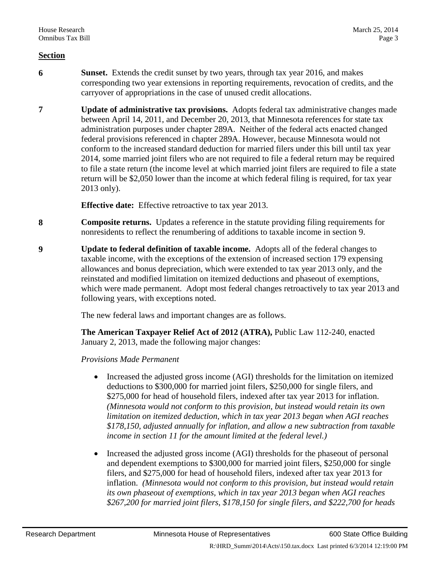- **6 Sunset.** Extends the credit sunset by two years, through tax year 2016, and makes corresponding two year extensions in reporting requirements, revocation of credits, and the carryover of appropriations in the case of unused credit allocations.
- **7 Update of administrative tax provisions.** Adopts federal tax administrative changes made between April 14, 2011, and December 20, 2013, that Minnesota references for state tax administration purposes under chapter 289A. Neither of the federal acts enacted changed federal provisions referenced in chapter 289A. However, because Minnesota would not conform to the increased standard deduction for married filers under this bill until tax year 2014, some married joint filers who are not required to file a federal return may be required to file a state return (the income level at which married joint filers are required to file a state return will be \$2,050 lower than the income at which federal filing is required, for tax year 2013 only).

**Effective date:** Effective retroactive to tax year 2013.

- **8 Composite returns.** Updates a reference in the statute providing filing requirements for nonresidents to reflect the renumbering of additions to taxable income in section [9.](#page-2-0)
- <span id="page-2-0"></span>**9 Update to federal definition of taxable income.** Adopts all of the federal changes to taxable income, with the exceptions of the extension of increased section 179 expensing allowances and bonus depreciation, which were extended to tax year 2013 only, and the reinstated and modified limitation on itemized deductions and phaseout of exemptions, which were made permanent. Adopt most federal changes retroactively to tax year 2013 and following years, with exceptions noted.

The new federal laws and important changes are as follows.

**The American Taxpayer Relief Act of 2012 (ATRA),** Public Law 112-240, enacted January 2, 2013, made the following major changes:

*Provisions Made Permanent*

- Increased the adjusted gross income (AGI) thresholds for the limitation on itemized deductions to \$300,000 for married joint filers, \$250,000 for single filers, and \$275,000 for head of household filers, indexed after tax year 2013 for inflation. *(Minnesota would not conform to this provision, but instead would retain its own limitation on itemized deduction, which in tax year 2013 began when AGI reaches \$178,150, adjusted annually for inflation, and allow a new subtraction from taxable income in section [11](#page-6-0) for the amount limited at the federal level.)*
- Increased the adjusted gross income (AGI) thresholds for the phaseout of personal and dependent exemptions to \$300,000 for married joint filers, \$250,000 for single filers, and \$275,000 for head of household filers, indexed after tax year 2013 for inflation. *(Minnesota would not conform to this provision, but instead would retain its own phaseout of exemptions, which in tax year 2013 began when AGI reaches \$267,200 for married joint filers, \$178,150 for single filers, and \$222,700 for heads*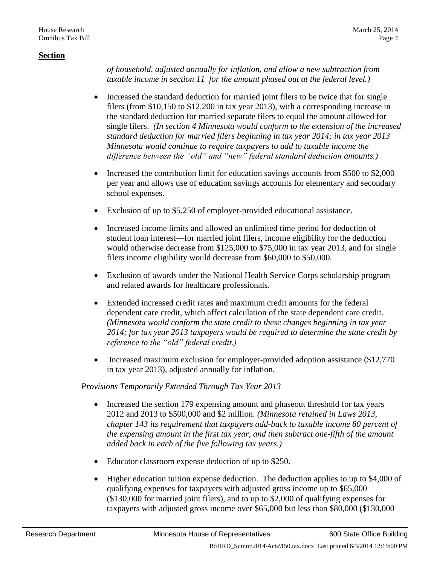*of household, adjusted annually for inflation, and allow a new subtraction from taxable income in section [11](#page-6-0) for the amount phased out at the federal level.)*

- Increased the standard deduction for married joint filers to be twice that for single filers (from \$10,150 to \$12,200 in tax year 2013), with a corresponding increase in the standard deduction for married separate filers to equal the amount allowed for single filers. *(In section [4](#page-1-1) Minnesota would conform to the extension of the increased standard deduction for married filers beginning in tax year 2014; in tax year 2013 Minnesota would continue to require taxpayers to add to taxable income the difference between the "old" and "new" federal standard deduction amounts.)*
- Increased the contribution limit for education savings accounts from \$500 to \$2,000 per year and allows use of education savings accounts for elementary and secondary school expenses.
- Exclusion of up to \$5,250 of employer-provided educational assistance.
- Increased income limits and allowed an unlimited time period for deduction of student loan interest—for married joint filers, income eligibility for the deduction would otherwise decrease from \$125,000 to \$75,000 in tax year 2013, and for single filers income eligibility would decrease from \$60,000 to \$50,000.
- Exclusion of awards under the National Health Service Corps scholarship program and related awards for healthcare professionals.
- Extended increased credit rates and maximum credit amounts for the federal dependent care credit, which affect calculation of the state dependent care credit. *(Minnesota would conform the state credit to these changes beginning in tax year 2014; for tax year 2013 taxpayers would be required to determine the state credit by reference to the "old" federal credit.)*
- Increased maximum exclusion for employer-provided adoption assistance (\$12,770) in tax year 2013), adjusted annually for inflation.

*Provisions Temporarily Extended Through Tax Year 2013*

- Increased the section 179 expensing amount and phaseout threshold for tax years 2012 and 2013 to \$500,000 and \$2 million. *(Minnesota retained in Laws 2013, chapter 143 its requirement that taxpayers add-back to taxable income 80 percent of the expensing amount in the first tax year, and then subtract one-fifth of the amount added back in each of the five following tax years.)*
- Educator classroom expense deduction of up to \$250.
- Higher education tuition expense deduction. The deduction applies to up to \$4,000 of qualifying expenses for taxpayers with adjusted gross income up to \$65,000 (\$130,000 for married joint filers), and to up to \$2,000 of qualifying expenses for taxpayers with adjusted gross income over \$65,000 but less than \$80,000 (\$130,000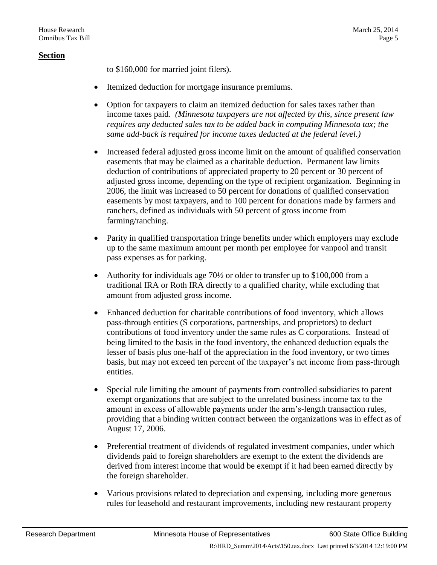to \$160,000 for married joint filers).

- Itemized deduction for mortgage insurance premiums.
- Option for taxpayers to claim an itemized deduction for sales taxes rather than income taxes paid. *(Minnesota taxpayers are not affected by this, since present law requires any deducted sales tax to be added back in computing Minnesota tax; the same add-back is required for income taxes deducted at the federal level.)*
- Increased federal adjusted gross income limit on the amount of qualified conservation easements that may be claimed as a charitable deduction. Permanent law limits deduction of contributions of appreciated property to 20 percent or 30 percent of adjusted gross income, depending on the type of recipient organization. Beginning in 2006, the limit was increased to 50 percent for donations of qualified conservation easements by most taxpayers, and to 100 percent for donations made by farmers and ranchers, defined as individuals with 50 percent of gross income from farming/ranching.
- Parity in qualified transportation fringe benefits under which employers may exclude up to the same maximum amount per month per employee for vanpool and transit pass expenses as for parking.
- Authority for individuals age  $70\frac{1}{2}$  or older to transfer up to \$100,000 from a traditional IRA or Roth IRA directly to a qualified charity, while excluding that amount from adjusted gross income.
- Enhanced deduction for charitable contributions of food inventory, which allows pass-through entities (S corporations, partnerships, and proprietors) to deduct contributions of food inventory under the same rules as C corporations. Instead of being limited to the basis in the food inventory, the enhanced deduction equals the lesser of basis plus one-half of the appreciation in the food inventory, or two times basis, but may not exceed ten percent of the taxpayer's net income from pass-through entities.
- Special rule limiting the amount of payments from controlled subsidiaries to parent exempt organizations that are subject to the unrelated business income tax to the amount in excess of allowable payments under the arm's-length transaction rules, providing that a binding written contract between the organizations was in effect as of August 17, 2006.
- Preferential treatment of dividends of regulated investment companies, under which dividends paid to foreign shareholders are exempt to the extent the dividends are derived from interest income that would be exempt if it had been earned directly by the foreign shareholder.
- Various provisions related to depreciation and expensing, including more generous rules for leasehold and restaurant improvements, including new restaurant property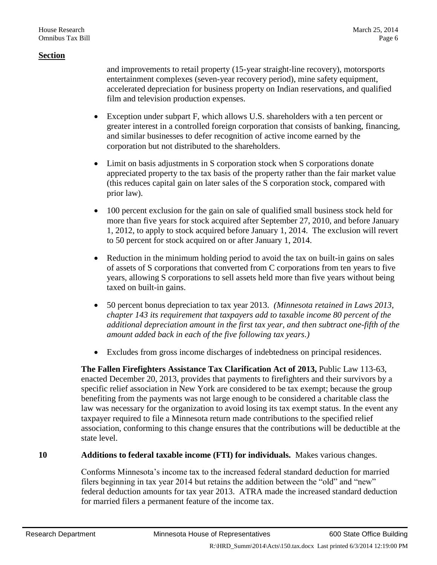and improvements to retail property (15-year straight-line recovery), motorsports entertainment complexes (seven-year recovery period), mine safety equipment, accelerated depreciation for business property on Indian reservations, and qualified film and television production expenses.

- Exception under subpart F, which allows U.S. shareholders with a ten percent or greater interest in a controlled foreign corporation that consists of banking, financing, and similar businesses to defer recognition of active income earned by the corporation but not distributed to the shareholders.
- Limit on basis adjustments in S corporation stock when S corporations donate appreciated property to the tax basis of the property rather than the fair market value (this reduces capital gain on later sales of the S corporation stock, compared with prior law).
- 100 percent exclusion for the gain on sale of qualified small business stock held for more than five years for stock acquired after September 27, 2010, and before January 1, 2012, to apply to stock acquired before January 1, 2014. The exclusion will revert to 50 percent for stock acquired on or after January 1, 2014.
- Reduction in the minimum holding period to avoid the tax on built-in gains on sales of assets of S corporations that converted from C corporations from ten years to five years, allowing S corporations to sell assets held more than five years without being taxed on built-in gains.
- 50 percent bonus depreciation to tax year 2013. *(Minnesota retained in Laws 2013, chapter 143 its requirement that taxpayers add to taxable income 80 percent of the additional depreciation amount in the first tax year, and then subtract one-fifth of the amount added back in each of the five following tax years.)*
- Excludes from gross income discharges of indebtedness on principal residences.

**The Fallen Firefighters Assistance Tax Clarification Act of 2013,** Public Law 113-63, enacted December 20, 2013, provides that payments to firefighters and their survivors by a specific relief association in New York are considered to be tax exempt; because the group benefiting from the payments was not large enough to be considered a charitable class the law was necessary for the organization to avoid losing its tax exempt status. In the event any taxpayer required to file a Minnesota return made contributions to the specified relief association, conforming to this change ensures that the contributions will be deductible at the state level.

## <span id="page-5-0"></span>**10 Additions to federal taxable income (FTI) for individuals.** Makes various changes.

Conforms Minnesota's income tax to the increased federal standard deduction for married filers beginning in tax year 2014 but retains the addition between the "old" and "new" federal deduction amounts for tax year 2013. ATRA made the increased standard deduction for married filers a permanent feature of the income tax.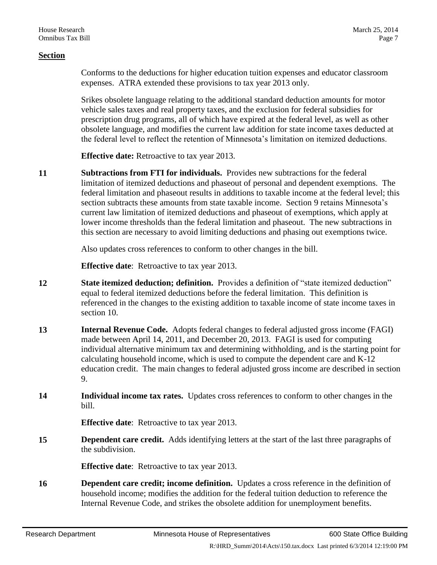Conforms to the deductions for higher education tuition expenses and educator classroom expenses. ATRA extended these provisions to tax year 2013 only.

Srikes obsolete language relating to the additional standard deduction amounts for motor vehicle sales taxes and real property taxes, and the exclusion for federal subsidies for prescription drug programs, all of which have expired at the federal level, as well as other obsolete language, and modifies the current law addition for state income taxes deducted at the federal level to reflect the retention of Minnesota's limitation on itemized deductions.

**Effective date:** Retroactive to tax year 2013.

<span id="page-6-0"></span>**11 Subtractions from FTI for individuals.** Provides new subtractions for the federal limitation of itemized deductions and phaseout of personal and dependent exemptions. The federal limitation and phaseout results in additions to taxable income at the federal level; this section subtracts these amounts from state taxable income. Section [9](#page-2-0) retains Minnesota's current law limitation of itemized deductions and phaseout of exemptions, which apply at lower income thresholds than the federal limitation and phaseout. The new subtractions in this section are necessary to avoid limiting deductions and phasing out exemptions twice.

Also updates cross references to conform to other changes in the bill.

**Effective date**: Retroactive to tax year 2013.

- **12 State itemized deduction; definition.** Provides a definition of "state itemized deduction" equal to federal itemized deductions before the federal limitation. This definition is referenced in the changes to the existing addition to taxable income of state income taxes in section [10.](#page-5-0)
- **13 Internal Revenue Code.** Adopts federal changes to federal adjusted gross income (FAGI) made between April 14, 2011, and December 20, 2013. FAGI is used for computing individual alternative minimum tax and determining withholding, and is the starting point for calculating household income, which is used to compute the dependent care and K-12 education credit. The main changes to federal adjusted gross income are described in section [9.](#page-2-0)
- **14 Individual income tax rates.** Updates cross references to conform to other changes in the bill.

**Effective date**: Retroactive to tax year 2013.

**15 Dependent care credit.** Adds identifying letters at the start of the last three paragraphs of the subdivision.

**Effective date**: Retroactive to tax year 2013.

**16 Dependent care credit; income definition.** Updates a cross reference in the definition of household income; modifies the addition for the federal tuition deduction to reference the Internal Revenue Code, and strikes the obsolete addition for unemployment benefits.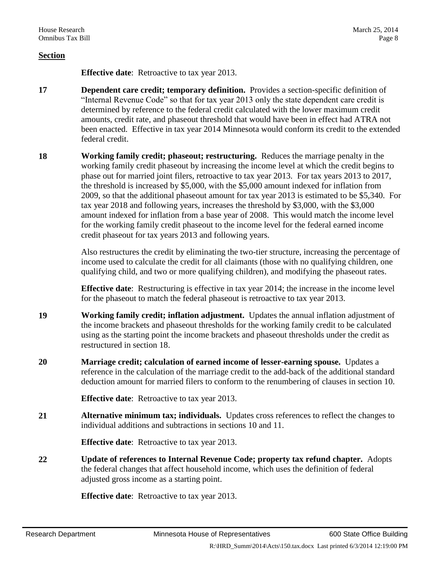**Effective date**: Retroactive to tax year 2013.

- **17 Dependent care credit; temporary definition.** Provides a section-specific definition of "Internal Revenue Code" so that for tax year 2013 only the state dependent care credit is determined by reference to the federal credit calculated with the lower maximum credit amounts, credit rate, and phaseout threshold that would have been in effect had ATRA not been enacted. Effective in tax year 2014 Minnesota would conform its credit to the extended federal credit.
- <span id="page-7-0"></span>**18 Working family credit; phaseout; restructuring.** Reduces the marriage penalty in the working family credit phaseout by increasing the income level at which the credit begins to phase out for married joint filers, retroactive to tax year 2013. For tax years 2013 to 2017, the threshold is increased by \$5,000, with the \$5,000 amount indexed for inflation from 2009, so that the additional phaseout amount for tax year 2013 is estimated to be \$5,340. For tax year 2018 and following years, increases the threshold by \$3,000, with the \$3,000 amount indexed for inflation from a base year of 2008. This would match the income level for the working family credit phaseout to the income level for the federal earned income credit phaseout for tax years 2013 and following years.

Also restructures the credit by eliminating the two-tier structure, increasing the percentage of income used to calculate the credit for all claimants (those with no qualifying children, one qualifying child, and two or more qualifying children), and modifying the phaseout rates.

**Effective date**: Restructuring is effective in tax year 2014; the increase in the income level for the phaseout to match the federal phaseout is retroactive to tax year 2013.

- **19 Working family credit; inflation adjustment.** Updates the annual inflation adjustment of the income brackets and phaseout thresholds for the working family credit to be calculated using as the starting point the income brackets and phaseout thresholds under the credit as restructured in section [18.](#page-7-0)
- **20 Marriage credit; calculation of earned income of lesser-earning spouse.** Updates a reference in the calculation of the marriage credit to the add-back of the additional standard deduction amount for married filers to conform to the renumbering of clauses in section [10.](#page-5-0)

**Effective date**: Retroactive to tax year 2013.

**21 Alternative minimum tax; individuals.** Updates cross references to reflect the changes to individual additions and subtractions in sections [10](#page-5-0) and [11.](#page-6-0)

**Effective date**: Retroactive to tax year 2013.

**22 Update of references to Internal Revenue Code; property tax refund chapter.** Adopts the federal changes that affect household income, which uses the definition of federal adjusted gross income as a starting point.

**Effective date**: Retroactive to tax year 2013.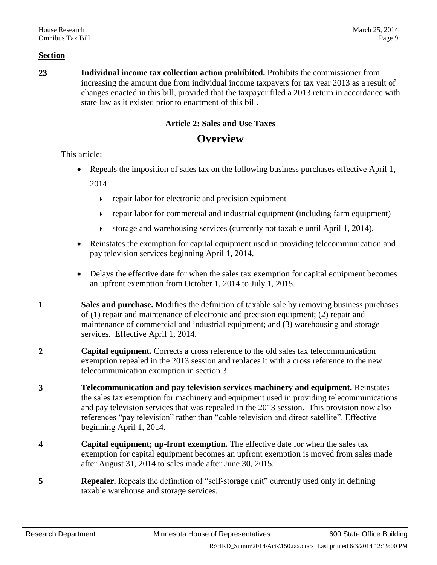**23 Individual income tax collection action prohibited.** Prohibits the commissioner from increasing the amount due from individual income taxpayers for tax year 2013 as a result of changes enacted in this bill, provided that the taxpayer filed a 2013 return in accordance with state law as it existed prior to enactment of this bill.

## **Article 2: Sales and Use Taxes**

## **Overview**

This article:

- Repeals the imposition of sales tax on the following business purchases effective April 1, 2014:
	- $\rightarrow$  repair labor for electronic and precision equipment
	- repair labor for commercial and industrial equipment (including farm equipment)
	- storage and warehousing services (currently not taxable until April 1, 2014).
- Reinstates the exemption for capital equipment used in providing telecommunication and pay television services beginning April 1, 2014.
- Delays the effective date for when the sales tax exemption for capital equipment becomes an upfront exemption from October 1, 2014 to July 1, 2015.
- **1 Sales and purchase.** Modifies the definition of taxable sale by removing business purchases of (1) repair and maintenance of electronic and precision equipment; (2) repair and maintenance of commercial and industrial equipment; and (3) warehousing and storage services. Effective April 1, 2014.
- **2 Capital equipment.** Corrects a cross reference to the old sales tax telecommunication exemption repealed in the 2013 session and replaces it with a cross reference to the new telecommunication exemption in section [3.](#page-8-0)
- <span id="page-8-0"></span>**3 Telecommunication and pay television services machinery and equipment.** Reinstates the sales tax exemption for machinery and equipment used in providing telecommunications and pay television services that was repealed in the 2013 session. This provision now also references "pay television" rather than "cable television and direct satellite". Effective beginning April 1, 2014.
- **4 Capital equipment; up-front exemption.** The effective date for when the sales tax exemption for capital equipment becomes an upfront exemption is moved from sales made after August 31, 2014 to sales made after June 30, 2015.
- **5 Repealer.** Repeals the definition of "self-storage unit" currently used only in defining taxable warehouse and storage services.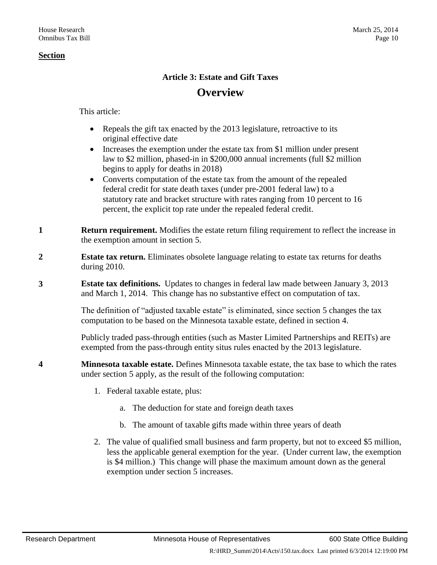## **Article 3: Estate and Gift Taxes**

## **Overview**

This article:

- Repeals the gift tax enacted by the 2013 legislature, retroactive to its original effective date
- Increases the exemption under the estate tax from \$1 million under present law to \$2 million, phased-in in \$200,000 annual increments (full \$2 million begins to apply for deaths in 2018)
- Converts computation of the estate tax from the amount of the repealed federal credit for state death taxes (under pre-2001 federal law) to a statutory rate and bracket structure with rates ranging from 10 percent to 16 percent, the explicit top rate under the repealed federal credit.
- **1 Return requirement.** Modifies the estate return filing requirement to reflect the increase in the exemption amount in section [5.](#page-10-0)
- **2 Estate tax return.** Eliminates obsolete language relating to estate tax returns for deaths during 2010.
- **3 Estate tax definitions.** Updates to changes in federal law made between January 3, 2013 and March 1, 2014. This change has no substantive effect on computation of tax.

The definition of "adjusted taxable estate" is eliminated, since section [5](#page-10-0) changes the tax computation to be based on the Minnesota taxable estate, defined in section [4.](#page-9-0)

Publicly traded pass-through entities (such as Master Limited Partnerships and REITs) are exempted from the pass-through entity situs rules enacted by the 2013 legislature.

- <span id="page-9-0"></span>**4 Minnesota taxable estate.** Defines Minnesota taxable estate, the tax base to which the rates under section [5](#page-10-0) apply, as the result of the following computation:
	- 1. Federal taxable estate, plus:
		- a. The deduction for state and foreign death taxes
		- b. The amount of taxable gifts made within three years of death
	- 2. The value of qualified small business and farm property, but not to exceed \$5 million, less the applicable general exemption for the year. (Under current law, the exemption is \$4 million.) This change will phase the maximum amount down as the general exemption under section [5](#page-10-0) increases.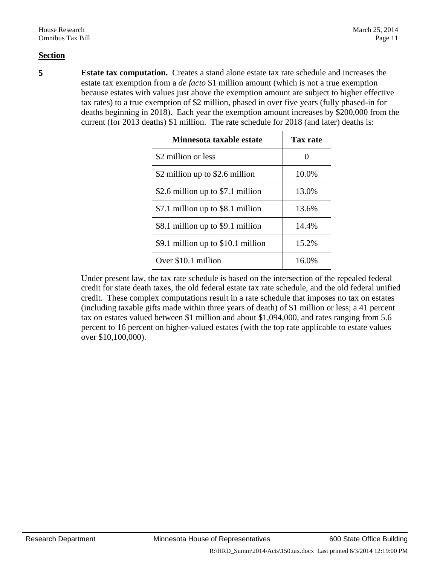<span id="page-10-0"></span>**5 Estate tax computation.** Creates a stand alone estate tax rate schedule and increases the estate tax exemption from a *de facto* \$1 million amount (which is not a true exemption because estates with values just above the exemption amount are subject to higher effective tax rates) to a true exemption of \$2 million, phased in over five years (fully phased-in for deaths beginning in 2018). Each year the exemption amount increases by \$200,000 from the current (for 2013 deaths) \$1 million. The rate schedule for 2018 (and later) deaths is:

| Minnesota taxable estate           | Tax rate |
|------------------------------------|----------|
| \$2 million or less                |          |
| \$2 million up to \$2.6 million    | 10.0%    |
| \$2.6 million up to \$7.1 million  | 13.0%    |
| \$7.1 million up to \$8.1 million  | 13.6%    |
| \$8.1 million up to \$9.1 million  | 14.4%    |
| \$9.1 million up to \$10.1 million | 15.2%    |
| Over \$10.1 million                | 16.0%    |

Under present law, the tax rate schedule is based on the intersection of the repealed federal credit for state death taxes, the old federal estate tax rate schedule, and the old federal unified credit. These complex computations result in a rate schedule that imposes no tax on estates (including taxable gifts made within three years of death) of \$1 million or less; a 41 percent tax on estates valued between \$1 million and about \$1,094,000, and rates ranging from 5.6 percent to 16 percent on higher-valued estates (with the top rate applicable to estate values over \$10,100,000).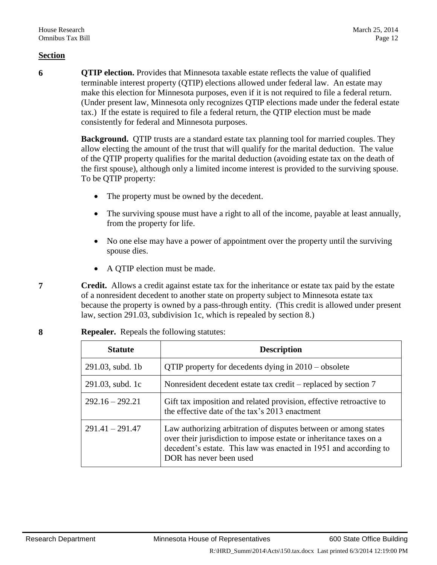**6 QTIP election.** Provides that Minnesota taxable estate reflects the value of qualified terminable interest property (QTIP) elections allowed under federal law. An estate may make this election for Minnesota purposes, even if it is not required to file a federal return. (Under present law, Minnesota only recognizes QTIP elections made under the federal estate tax.) If the estate is required to file a federal return, the QTIP election must be made consistently for federal and Minnesota purposes.

> **Background.** QTIP trusts are a standard estate tax planning tool for married couples. They allow electing the amount of the trust that will qualify for the marital deduction. The value of the QTIP property qualifies for the marital deduction (avoiding estate tax on the death of the first spouse), although only a limited income interest is provided to the surviving spouse. To be QTIP property:

- The property must be owned by the decedent.
- The surviving spouse must have a right to all of the income, payable at least annually, from the property for life.
- No one else may have a power of appointment over the property until the surviving spouse dies.
- A OTIP election must be made.
- <span id="page-11-1"></span>**7 Credit.** Allows a credit against estate tax for the inheritance or estate tax paid by the estate of a nonresident decedent to another state on property subject to Minnesota estate tax because the property is owned by a pass-through entity. (This credit is allowed under present law, section 291.03, subdivision 1c, which is repealed by section [8.](#page-11-0))

| <b>Statute</b>      | <b>Description</b>                                                                                                                                                                                                                   |  |
|---------------------|--------------------------------------------------------------------------------------------------------------------------------------------------------------------------------------------------------------------------------------|--|
| $291.03$ , subd. 1b | QTIP property for decedents dying in $2010 -$ obsolete                                                                                                                                                                               |  |
| 291.03, subd. 1c    | Nonresident decedent estate tax credit – replaced by section 7                                                                                                                                                                       |  |
| $292.16 - 292.21$   | Gift tax imposition and related provision, effective retroactive to<br>the effective date of the tax's 2013 enactment                                                                                                                |  |
| $291.41 - 291.47$   | Law authorizing arbitration of disputes between or among states<br>over their jurisdiction to impose estate or inheritance taxes on a<br>decedent's estate. This law was enacted in 1951 and according to<br>DOR has never been used |  |

<span id="page-11-0"></span>

| <b>Repealer.</b> Repeals the following statutes: |  |
|--------------------------------------------------|--|
|--------------------------------------------------|--|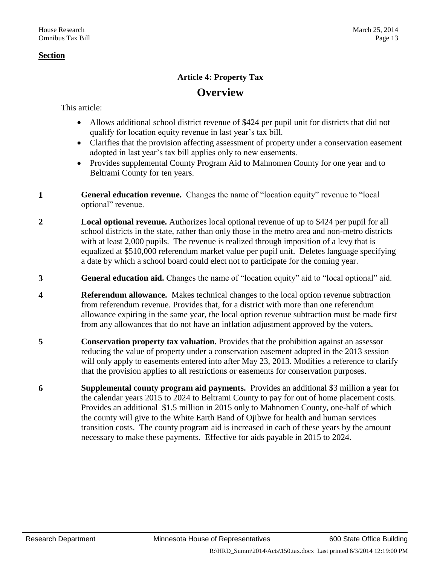## **Article 4: Property Tax**

## **Overview**

This article:

- Allows additional school district revenue of \$424 per pupil unit for districts that did not qualify for location equity revenue in last year's tax bill.
- Clarifies that the provision affecting assessment of property under a conservation easement adopted in last year's tax bill applies only to new easements.
- Provides supplemental County Program Aid to Mahnomen County for one year and to Beltrami County for ten years.
- **1 General education revenue.** Changes the name of "location equity" revenue to "local optional" revenue.
- **2 Local optional revenue.** Authorizes local optional revenue of up to \$424 per pupil for all school districts in the state, rather than only those in the metro area and non-metro districts with at least 2,000 pupils. The revenue is realized through imposition of a levy that is equalized at \$510,000 referendum market value per pupil unit. Deletes language specifying a date by which a school board could elect not to participate for the coming year.
- **3 General education aid.** Changes the name of "location equity" aid to "local optional" aid.
- **4 Referendum allowance.** Makes technical changes to the local option revenue subtraction from referendum revenue. Provides that, for a district with more than one referendum allowance expiring in the same year, the local option revenue subtraction must be made first from any allowances that do not have an inflation adjustment approved by the voters.
- **5 Conservation property tax valuation.** Provides that the prohibition against an assessor reducing the value of property under a conservation easement adopted in the 2013 session will only apply to easements entered into after May 23, 2013. Modifies a reference to clarify that the provision applies to all restrictions or easements for conservation purposes.
- **6 Supplemental county program aid payments.** Provides an additional \$3 million a year for the calendar years 2015 to 2024 to Beltrami County to pay for out of home placement costs. Provides an additional \$1.5 million in 2015 only to Mahnomen County, one-half of which the county will give to the White Earth Band of Ojibwe for health and human services transition costs. The county program aid is increased in each of these years by the amount necessary to make these payments. Effective for aids payable in 2015 to 2024.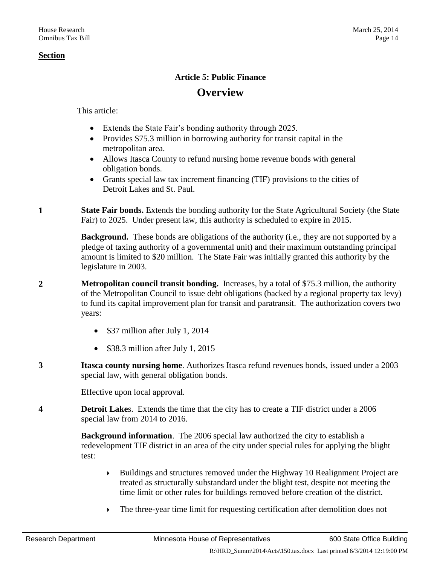## **Article 5: Public Finance**

## **Overview**

This article:

- Extends the State Fair's bonding authority through 2025.
- Provides \$75.3 million in borrowing authority for transit capital in the metropolitan area.
- Allows Itasca County to refund nursing home revenue bonds with general obligation bonds.
- Grants special law tax increment financing (TIF) provisions to the cities of Detroit Lakes and St. Paul.
- **1 State Fair bonds.** Extends the bonding authority for the State Agricultural Society (the State Fair) to 2025. Under present law, this authority is scheduled to expire in 2015.

**Background.** These bonds are obligations of the authority (i.e., they are not supported by a pledge of taxing authority of a governmental unit) and their maximum outstanding principal amount is limited to \$20 million. The State Fair was initially granted this authority by the legislature in 2003.

- **2 Metropolitan council transit bonding.** Increases, by a total of \$75.3 million, the authority of the Metropolitan Council to issue debt obligations (backed by a regional property tax levy) to fund its capital improvement plan for transit and paratransit. The authorization covers two years:
	- \$37 million after July 1, 2014
	- \$38.3 million after July 1, 2015
- **3 Itasca county nursing home**. Authorizes Itasca refund revenues bonds, issued under a 2003 special law, with general obligation bonds.

Effective upon local approval.

**4 Detroit Lake**s. Extends the time that the city has to create a TIF district under a 2006 special law from 2014 to 2016.

> **Background information**. The 2006 special law authorized the city to establish a redevelopment TIF district in an area of the city under special rules for applying the blight test:

- Buildings and structures removed under the Highway 10 Realignment Project are treated as structurally substandard under the blight test, despite not meeting the time limit or other rules for buildings removed before creation of the district.
- The three-year time limit for requesting certification after demolition does not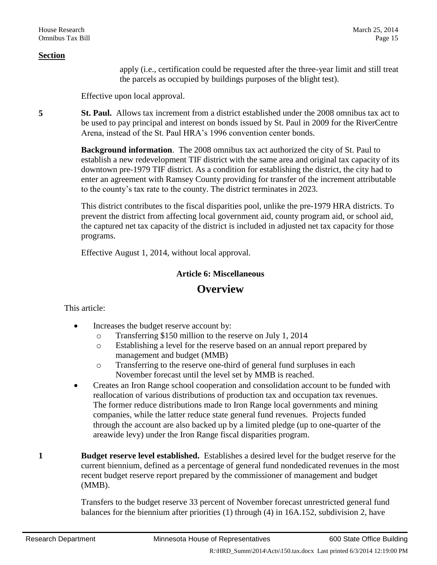apply (i.e., certification could be requested after the three-year limit and still treat the parcels as occupied by buildings purposes of the blight test).

Effective upon local approval.

**5 St. Paul.** Allows tax increment from a district established under the 2008 omnibus tax act to be used to pay principal and interest on bonds issued by St. Paul in 2009 for the RiverCentre Arena, instead of the St. Paul HRA's 1996 convention center bonds.

> **Background information**. The 2008 omnibus tax act authorized the city of St. Paul to establish a new redevelopment TIF district with the same area and original tax capacity of its downtown pre-1979 TIF district. As a condition for establishing the district, the city had to enter an agreement with Ramsey County providing for transfer of the increment attributable to the county's tax rate to the county. The district terminates in 2023.

This district contributes to the fiscal disparities pool, unlike the pre-1979 HRA districts. To prevent the district from affecting local government aid, county program aid, or school aid, the captured net tax capacity of the district is included in adjusted net tax capacity for those programs.

Effective August 1, 2014, without local approval.

## **Article 6: Miscellaneous**

## **Overview**

This article:

- Increases the budget reserve account by:
	- o Transferring \$150 million to the reserve on July 1, 2014
	- o Establishing a level for the reserve based on an annual report prepared by management and budget (MMB)
	- o Transferring to the reserve one-third of general fund surpluses in each November forecast until the level set by MMB is reached.
- Creates an Iron Range school cooperation and consolidation account to be funded with reallocation of various distributions of production tax and occupation tax revenues. The former reduce distributions made to Iron Range local governments and mining companies, while the latter reduce state general fund revenues. Projects funded through the account are also backed up by a limited pledge (up to one-quarter of the areawide levy) under the Iron Range fiscal disparities program.
- **1 Budget reserve level established.** Establishes a desired level for the budget reserve for the current biennium, defined as a percentage of general fund nondedicated revenues in the most recent budget reserve report prepared by the commissioner of management and budget (MMB).

Transfers to the budget reserve 33 percent of November forecast unrestricted general fund balances for the biennium after priorities (1) through (4) in 16A.152, subdivision 2, have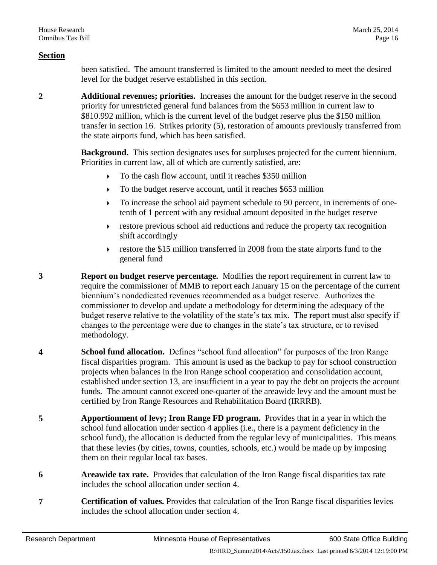been satisfied. The amount transferred is limited to the amount needed to meet the desired level for the budget reserve established in this section.

**2 Additional revenues; priorities.** Increases the amount for the budget reserve in the second priority for unrestricted general fund balances from the \$653 million in current law to \$810.992 million, which is the current level of the budget reserve plus the \$150 million transfer in section [16.](#page-17-0) Strikes priority (5), restoration of amounts previously transferred from the state airports fund, which has been satisfied.

> **Background.** This section designates uses for surpluses projected for the current biennium. Priorities in current law, all of which are currently satisfied, are:

- To the cash flow account, until it reaches \$350 million
- To the budget reserve account, until it reaches \$653 million
- $\triangleright$  To increase the school aid payment schedule to 90 percent, in increments of onetenth of 1 percent with any residual amount deposited in the budget reserve
- restore previous school aid reductions and reduce the property tax recognition shift accordingly
- restore the \$15 million transferred in 2008 from the state airports fund to the general fund
- **3 Report on budget reserve percentage.** Modifies the report requirement in current law to require the commissioner of MMB to report each January 15 on the percentage of the current biennium's nondedicated revenues recommended as a budget reserve. Authorizes the commissioner to develop and update a methodology for determining the adequacy of the budget reserve relative to the volatility of the state's tax mix. The report must also specify if changes to the percentage were due to changes in the state's tax structure, or to revised methodology.
- <span id="page-15-0"></span>**4 School fund allocation.** Defines "school fund allocation" for purposes of the Iron Range fiscal disparities program. This amount is used as the backup to pay for school construction projects when balances in the Iron Range school cooperation and consolidation account, established under section [13,](#page-16-0) are insufficient in a year to pay the debt on projects the account funds. The amount cannot exceed one-quarter of the areawide levy and the amount must be certified by Iron Range Resources and Rehabilitation Board (IRRRB).
- **5 Apportionment of levy; Iron Range FD program.** Provides that in a year in which the school fund allocation under section [4](#page-15-0) applies (i.e., there is a payment deficiency in the school fund), the allocation is deducted from the regular levy of municipalities. This means that these levies (by cities, towns, counties, schools, etc.) would be made up by imposing them on their regular local tax bases.
- **6 Areawide tax rate.** Provides that calculation of the Iron Range fiscal disparities tax rate includes the school allocation under section [4.](#page-15-0)
- **7 Certification of values.** Provides that calculation of the Iron Range fiscal disparities levies includes the school allocation under section [4.](#page-15-0)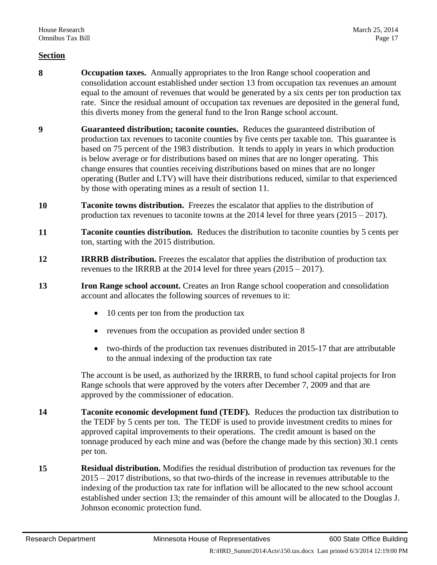- <span id="page-16-2"></span>**8 Occupation taxes.** Annually appropriates to the Iron Range school cooperation and consolidation account established under section [13](#page-16-0) from occupation tax revenues an amount equal to the amount of revenues that would be generated by a six cents per ton production tax rate. Since the residual amount of occupation tax revenues are deposited in the general fund, this diverts money from the general fund to the Iron Range school account.
- **9 Guaranteed distribution; taconite counties.** Reduces the guaranteed distribution of production tax revenues to taconite counties by five cents per taxable ton. This guarantee is based on 75 percent of the 1983 distribution. It tends to apply in years in which production is below average or for distributions based on mines that are no longer operating. This change ensures that counties receiving distributions based on mines that are no longer operating (Butler and LTV) will have their distributions reduced, similar to that experienced by those with operating mines as a result of section [11.](#page-16-1)
- **10 Taconite towns distribution.** Freezes the escalator that applies to the distribution of production tax revenues to taconite towns at the  $2014$  level for three years  $(2015 - 2017)$ .
- <span id="page-16-1"></span>**11 Taconite counties distribution.** Reduces the distribution to taconite counties by 5 cents per ton, starting with the 2015 distribution.
- **12 IRRRB distribution.** Freezes the escalator that applies the distribution of production tax revenues to the IRRRB at the 2014 level for three years (2015 – 2017).
- <span id="page-16-0"></span>**13 Iron Range school account.** Creates an Iron Range school cooperation and consolidation account and allocates the following sources of revenues to it:
	- 10 cents per ton from the production tax
	- revenues from the occupation as provided under section [8](#page-16-2)
	- two-thirds of the production tax revenues distributed in 2015-17 that are attributable to the annual indexing of the production tax rate

The account is be used, as authorized by the IRRRB, to fund school capital projects for Iron Range schools that were approved by the voters after December 7, 2009 and that are approved by the commissioner of education.

- **14 Taconite economic development fund (TEDF).** Reduces the production tax distribution to the TEDF by 5 cents per ton. The TEDF is used to provide investment credits to mines for approved capital improvements to their operations. The credit amount is based on the tonnage produced by each mine and was (before the change made by this section) 30.1 cents per ton.
- **15 Residual distribution.** Modifies the residual distribution of production tax revenues for the 2015 – 2017 distributions, so that two-thirds of the increase in revenues attributable to the indexing of the production tax rate for inflation will be allocated to the new school account established under section [13;](#page-16-0) the remainder of this amount will be allocated to the Douglas J. Johnson economic protection fund.